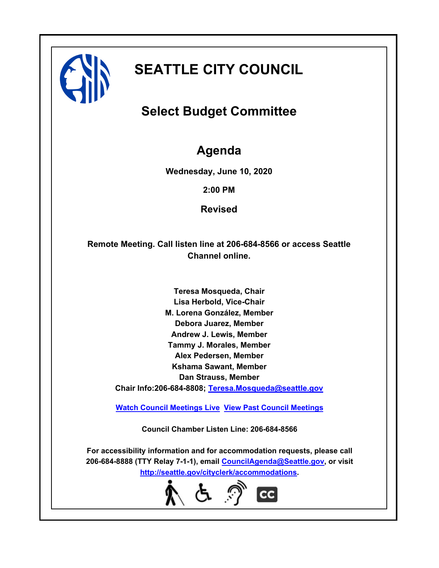

# **SEATTLE CITY COUNCIL**

## **Select Budget Committee**

## **Agenda**

**Wednesday, June 10, 2020**

**2:00 PM**

**Revised**

**Remote Meeting. Call listen line at 206-684-8566 or access Seattle Channel online.**

> **Teresa Mosqueda, Chair Lisa Herbold, Vice-Chair M. Lorena González, Member Debora Juarez, Member Andrew J. Lewis, Member Tammy J. Morales, Member Alex Pedersen, Member Kshama Sawant, Member Dan Strauss, Member Chair Info:206-684-8808; [Teresa.Mosqueda@seattle.gov](mailto: Teresa.Mosqueda@seattle.gov)**

**[Watch Council Meetings Live](http://www.seattle.gov/council/councillive.htm) [View Past Council Meetings](http://www.seattlechannel.org/videos/browseVideos.asp?topic=council)**

**Council Chamber Listen Line: 206-684-8566**

**For accessibility information and for accommodation requests, please call 206-684-8888 (TTY Relay 7-1-1), email [CouncilAgenda@Seattle.gov](mailto: Council.Agenda@seattle.gov), or visit <http://seattle.gov/cityclerk/accommodations>.**

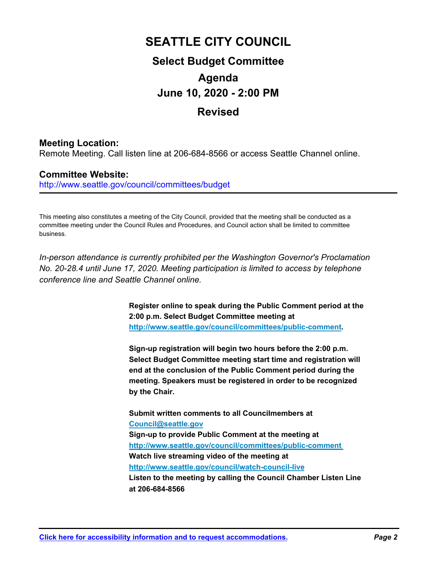## **SEATTLE CITY COUNCIL Select Budget Committee Agenda June 10, 2020 - 2:00 PM Revised**

## **Meeting Location:**

Remote Meeting. Call listen line at 206-684-8566 or access Seattle Channel online.

## **Committee Website:**

http://www.seattle.gov/council/committees/budget

This meeting also constitutes a meeting of the City Council, provided that the meeting shall be conducted as a committee meeting under the Council Rules and Procedures, and Council action shall be limited to committee business.

*In-person attendance is currently prohibited per the Washington Governor's Proclamation No. 20-28.4 until June 17, 2020. Meeting participation is limited to access by telephone conference line and Seattle Channel online.*

> **Register online to speak during the Public Comment period at the 2:00 p.m. Select Budget Committee meeting at http://www.seattle.gov/council/committees/public-comment.**

**Sign-up registration will begin two hours before the 2:00 p.m. Select Budget Committee meeting start time and registration will end at the conclusion of the Public Comment period during the meeting. Speakers must be registered in order to be recognized by the Chair.** 

**Submit written comments to all Councilmembers at Council@seattle.gov Sign-up to provide Public Comment at the meeting at http://www.seattle.gov/council/committees/public-comment Watch live streaming video of the meeting at http://www.seattle.gov/council/watch-council-live Listen to the meeting by calling the Council Chamber Listen Line at 206-684-8566**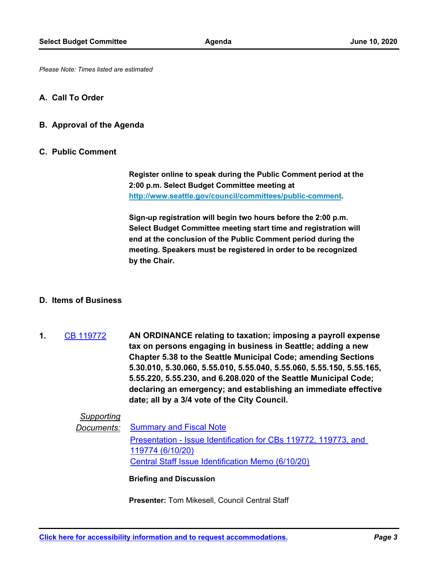*Please Note: Times listed are estimated*

#### **A. Call To Order**

#### **B. Approval of the Agenda**

#### **C. Public Comment**

**Register online to speak during the Public Comment period at the 2:00 p.m. Select Budget Committee meeting at http://www.seattle.gov/council/committees/public-comment.**

**Sign-up registration will begin two hours before the 2:00 p.m. Select Budget Committee meeting start time and registration will end at the conclusion of the Public Comment period during the meeting. Speakers must be registered in order to be recognized by the Chair.**

#### **D. Items of Business**

**AN ORDINANCE relating to taxation; imposing a payroll expense tax on persons engaging in business in Seattle; adding a new Chapter 5.38 to the Seattle Municipal Code; amending Sections 5.30.010, 5.30.060, 5.55.010, 5.55.040, 5.55.060, 5.55.150, 5.55.165, 5.55.220, 5.55.230, and 6.208.020 of the Seattle Municipal Code; declaring an emergency; and establishing an immediate effective date; all by a 3/4 vote of the City Council. 1.** [CB 119772](http://seattle.legistar.com/gateway.aspx?m=l&id=/matter.aspx?key=10149)

### *Supporting*

*Documents:* [Summary and Fiscal Note](http://seattle.legistar.com/gateway.aspx?M=F&ID=b402e5ae-469d-4d4c-b0d4-eefd930b72c7.docx) [Presentation - Issue Identification for CBs 119772, 119773, and](http://seattle.legistar.com/gateway.aspx?M=F&ID=75d9ad82-0ac0-4b65-af9a-53b3329e93df.pdf)  119774 (6/10/20) [Central Staff Issue Identification Memo \(6/10/20\)](http://seattle.legistar.com/gateway.aspx?M=F&ID=85fb185d-a0d4-40e7-9ee8-ac734c022f99.pdf)

#### **Briefing and Discussion**

**Presenter:** Tom Mikesell, Council Central Staff

**[Click here for accessibility information and to request accommodations.](http://seattle.gov/cityclerk/accommodations)** *Page 3*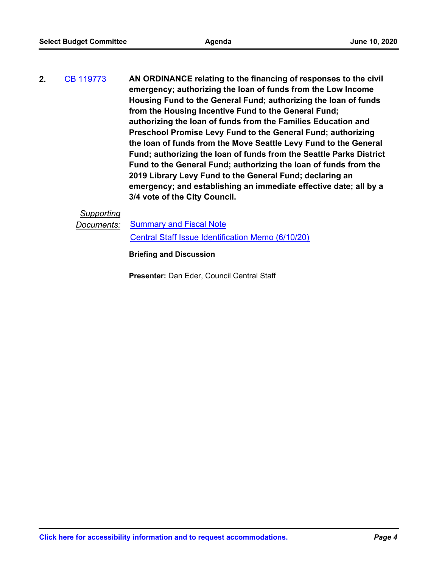**AN ORDINANCE relating to the financing of responses to the civil emergency; authorizing the loan of funds from the Low Income Housing Fund to the General Fund; authorizing the loan of funds from the Housing Incentive Fund to the General Fund; authorizing the loan of funds from the Families Education and Preschool Promise Levy Fund to the General Fund; authorizing the loan of funds from the Move Seattle Levy Fund to the General Fund; authorizing the loan of funds from the Seattle Parks District Fund to the General Fund; authorizing the loan of funds from the 2019 Library Levy Fund to the General Fund; declaring an emergency; and establishing an immediate effective date; all by a 3/4 vote of the City Council. 2.** [CB 119773](http://seattle.legistar.com/gateway.aspx?m=l&id=/matter.aspx?key=10150)

## *Supporting*

*Documents:* [Summary and Fiscal Note](http://seattle.legistar.com/gateway.aspx?M=F&ID=ec3ebee0-68fd-4388-95ab-ded92e05f451.docx)

[Central Staff Issue Identification Memo \(6/10/20\)](http://seattle.legistar.com/gateway.aspx?M=F&ID=ac61a161-97be-4cf4-9f62-6dfac0f0f1f6.pdf)

**Briefing and Discussion**

**Presenter:** Dan Eder, Council Central Staff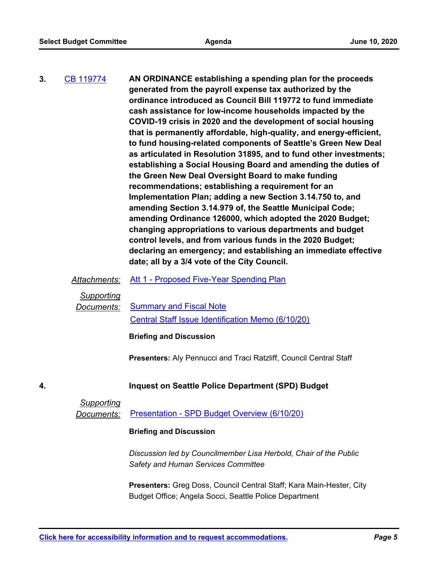| 3.<br><b>CB 119774</b> | AN ORDINANCE establishing a spending plan for the proceeds<br>generated from the payroll expense tax authorized by the<br>ordinance introduced as Council Bill 119772 to fund immediate<br>cash assistance for low-income households impacted by the<br>COVID-19 crisis in 2020 and the development of social housing<br>that is permanently affordable, high-quality, and energy-efficient,<br>to fund housing-related components of Seattle's Green New Deal<br>as articulated in Resolution 31895, and to fund other investments;<br>establishing a Social Housing Board and amending the duties of<br>the Green New Deal Oversight Board to make funding<br>recommendations; establishing a requirement for an<br>Implementation Plan; adding a new Section 3.14.750 to, and<br>amending Section 3.14.979 of, the Seattle Municipal Code;<br>amending Ordinance 126000, which adopted the 2020 Budget;<br>changing appropriations to various departments and budget<br>control levels, and from various funds in the 2020 Budget;<br>declaring an emergency; and establishing an immediate effective<br>date; all by a 3/4 vote of the City Council. |
|------------------------|----------------------------------------------------------------------------------------------------------------------------------------------------------------------------------------------------------------------------------------------------------------------------------------------------------------------------------------------------------------------------------------------------------------------------------------------------------------------------------------------------------------------------------------------------------------------------------------------------------------------------------------------------------------------------------------------------------------------------------------------------------------------------------------------------------------------------------------------------------------------------------------------------------------------------------------------------------------------------------------------------------------------------------------------------------------------------------------------------------------------------------------------------------|
|                        |                                                                                                                                                                                                                                                                                                                                                                                                                                                                                                                                                                                                                                                                                                                                                                                                                                                                                                                                                                                                                                                                                                                                                          |

### Attachments: [Att 1 - Proposed Five-Year Spending Plan](http://seattle.legistar.com/gateway.aspx?M=F&ID=5914aae7-4ead-4a09-9261-e0691549b96b.docx)

*Supporting*

**Documents:** [Summary and Fiscal Note](http://seattle.legistar.com/gateway.aspx?M=F&ID=cfdb7379-0140-4827-b8cc-6c69548dec36.docx) [Central Staff Issue Identification Memo \(6/10/20\)](http://seattle.legistar.com/gateway.aspx?M=F&ID=d545507d-1e43-4a16-b510-5cd59df615c3.pdf)

#### **Briefing and Discussion**

**Presenters:** Aly Pennucci and Traci Ratzliff, Council Central Staff

### **4. Inquest on Seattle Police Department (SPD) Budget**

### *Supporting*

*Documents:* [Presentation - SPD Budget Overview \(6/10/20\)](http://seattle.legistar.com/gateway.aspx?M=F&ID=00ea815b-d943-4f88-9c99-ec265597d1f5.pdf)

#### **Briefing and Discussion**

*Discussion led by Councilmember Lisa Herbold, Chair of the Public Safety and Human Services Committee*

**Presenters:** Greg Doss, Council Central Staff; Kara Main-Hester, City Budget Office; Angela Socci, Seattle Police Department